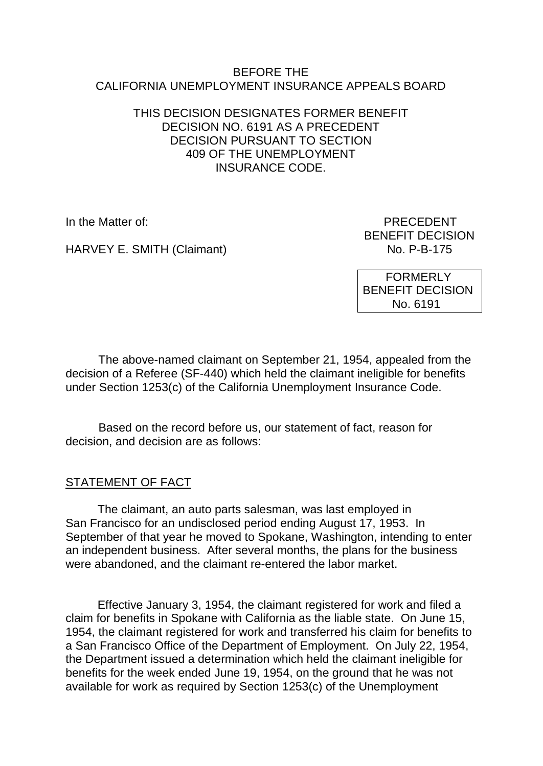#### BEFORE THE CALIFORNIA UNEMPLOYMENT INSURANCE APPEALS BOARD

#### THIS DECISION DESIGNATES FORMER BENEFIT DECISION NO. 6191 AS A PRECEDENT DECISION PURSUANT TO SECTION 409 OF THE UNEMPLOYMENT INSURANCE CODE.

HARVEY E. SMITH (Claimant)

In the Matter of: PRECEDENT BENEFIT DECISION<br>No. P-B-175

> FORMERLY BENEFIT DECISION No. 6191

The above-named claimant on September 21, 1954, appealed from the decision of a Referee (SF-440) which held the claimant ineligible for benefits under Section 1253(c) of the California Unemployment Insurance Code.

Based on the record before us, our statement of fact, reason for decision, and decision are as follows:

# STATEMENT OF FACT

The claimant, an auto parts salesman, was last employed in San Francisco for an undisclosed period ending August 17, 1953. In September of that year he moved to Spokane, Washington, intending to enter an independent business. After several months, the plans for the business were abandoned, and the claimant re-entered the labor market.

Effective January 3, 1954, the claimant registered for work and filed a claim for benefits in Spokane with California as the liable state. On June 15, 1954, the claimant registered for work and transferred his claim for benefits to a San Francisco Office of the Department of Employment. On July 22, 1954, the Department issued a determination which held the claimant ineligible for benefits for the week ended June 19, 1954, on the ground that he was not available for work as required by Section 1253(c) of the Unemployment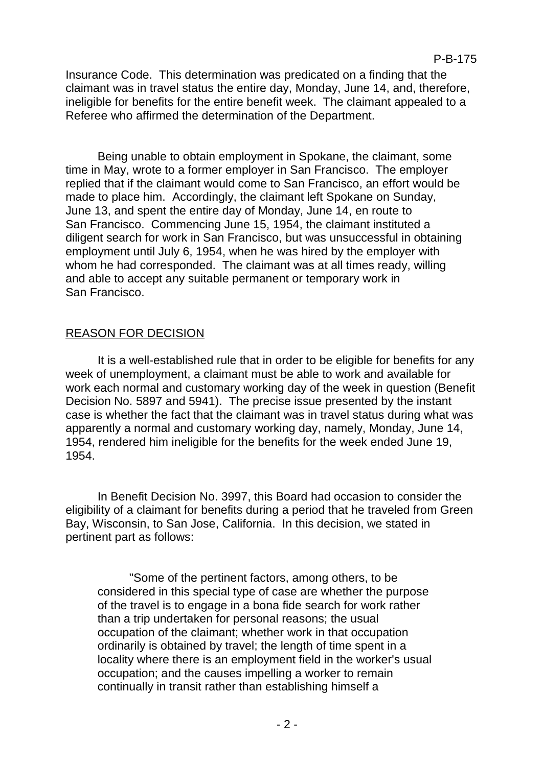Insurance Code. This determination was predicated on a finding that the claimant was in travel status the entire day, Monday, June 14, and, therefore, ineligible for benefits for the entire benefit week. The claimant appealed to a Referee who affirmed the determination of the Department.

Being unable to obtain employment in Spokane, the claimant, some time in May, wrote to a former employer in San Francisco. The employer replied that if the claimant would come to San Francisco, an effort would be made to place him. Accordingly, the claimant left Spokane on Sunday, June 13, and spent the entire day of Monday, June 14, en route to San Francisco. Commencing June 15, 1954, the claimant instituted a diligent search for work in San Francisco, but was unsuccessful in obtaining employment until July 6, 1954, when he was hired by the employer with whom he had corresponded. The claimant was at all times ready, willing and able to accept any suitable permanent or temporary work in San Francisco.

### REASON FOR DECISION

It is a well-established rule that in order to be eligible for benefits for any week of unemployment, a claimant must be able to work and available for work each normal and customary working day of the week in question (Benefit Decision No. 5897 and 5941). The precise issue presented by the instant case is whether the fact that the claimant was in travel status during what was apparently a normal and customary working day, namely, Monday, June 14, 1954, rendered him ineligible for the benefits for the week ended June 19, 1954.

In Benefit Decision No. 3997, this Board had occasion to consider the eligibility of a claimant for benefits during a period that he traveled from Green Bay, Wisconsin, to San Jose, California. In this decision, we stated in pertinent part as follows:

"Some of the pertinent factors, among others, to be considered in this special type of case are whether the purpose of the travel is to engage in a bona fide search for work rather than a trip undertaken for personal reasons; the usual occupation of the claimant; whether work in that occupation ordinarily is obtained by travel; the length of time spent in a locality where there is an employment field in the worker's usual occupation; and the causes impelling a worker to remain continually in transit rather than establishing himself a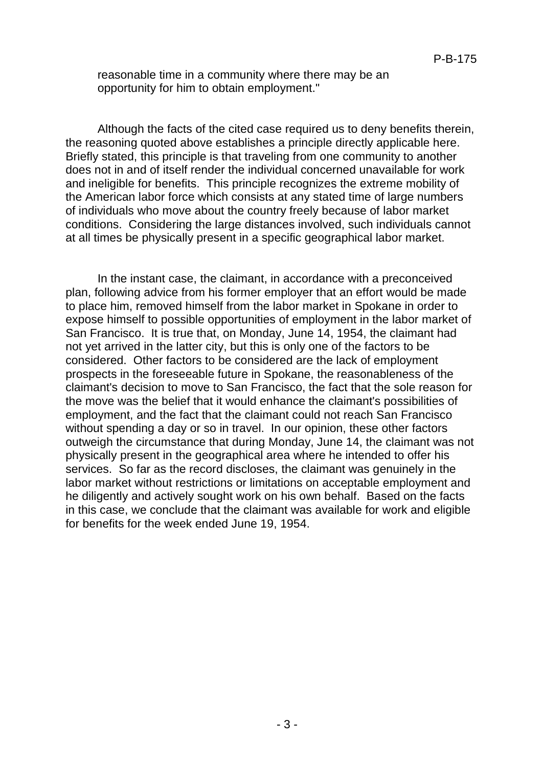reasonable time in a community where there may be an opportunity for him to obtain employment."

Although the facts of the cited case required us to deny benefits therein, the reasoning quoted above establishes a principle directly applicable here. Briefly stated, this principle is that traveling from one community to another does not in and of itself render the individual concerned unavailable for work and ineligible for benefits. This principle recognizes the extreme mobility of the American labor force which consists at any stated time of large numbers of individuals who move about the country freely because of labor market conditions. Considering the large distances involved, such individuals cannot at all times be physically present in a specific geographical labor market.

In the instant case, the claimant, in accordance with a preconceived plan, following advice from his former employer that an effort would be made to place him, removed himself from the labor market in Spokane in order to expose himself to possible opportunities of employment in the labor market of San Francisco. It is true that, on Monday, June 14, 1954, the claimant had not yet arrived in the latter city, but this is only one of the factors to be considered. Other factors to be considered are the lack of employment prospects in the foreseeable future in Spokane, the reasonableness of the claimant's decision to move to San Francisco, the fact that the sole reason for the move was the belief that it would enhance the claimant's possibilities of employment, and the fact that the claimant could not reach San Francisco without spending a day or so in travel. In our opinion, these other factors outweigh the circumstance that during Monday, June 14, the claimant was not physically present in the geographical area where he intended to offer his services. So far as the record discloses, the claimant was genuinely in the labor market without restrictions or limitations on acceptable employment and he diligently and actively sought work on his own behalf. Based on the facts in this case, we conclude that the claimant was available for work and eligible for benefits for the week ended June 19, 1954.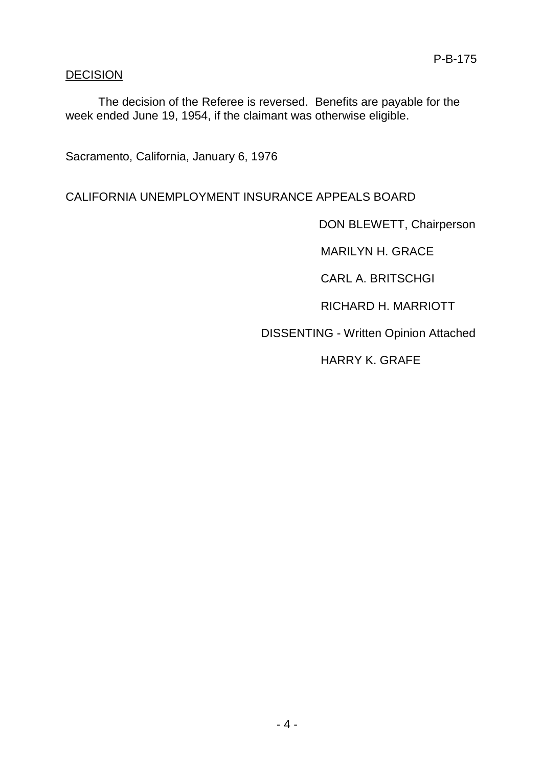# DECISION

The decision of the Referee is reversed. Benefits are payable for the week ended June 19, 1954, if the claimant was otherwise eligible.

Sacramento, California, January 6, 1976

# CALIFORNIA UNEMPLOYMENT INSURANCE APPEALS BOARD

DON BLEWETT, Chairperson

MARILYN H. GRACE

CARL A. BRITSCHGI

RICHARD H. MARRIOTT

DISSENTING - Written Opinion Attached

HARRY K. GRAFE